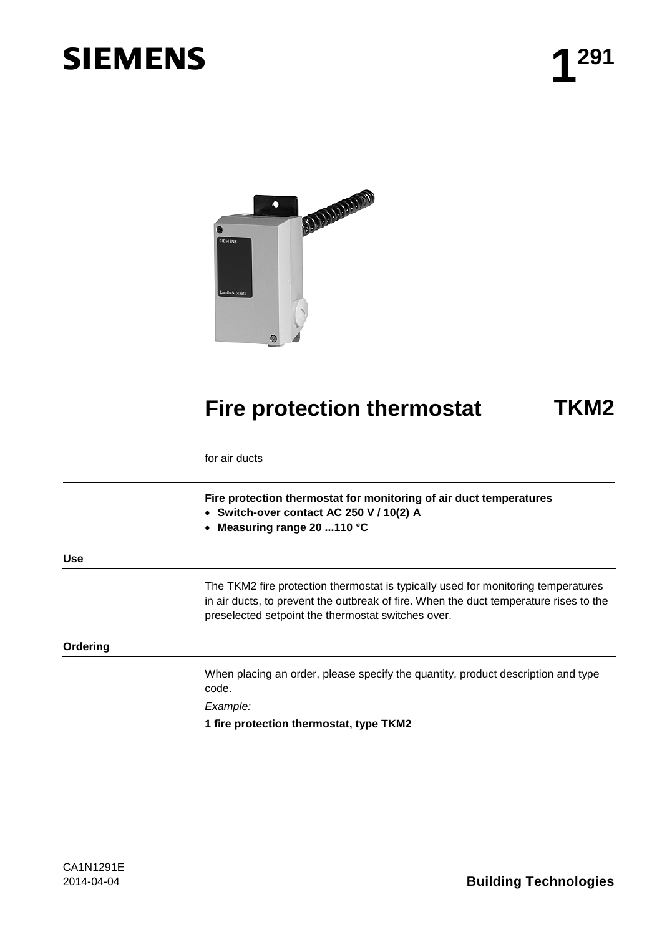# **SIEMENS 1** 291



## **Fire protection thermostat TKM2**

for air ducts

**Fire protection thermostat for monitoring of air duct temperatures**

- **Switch-over contact AC 250 V / 10(2) A**
- **Measuring range 20 ...110 °C**

**Use**

The TKM2 fire protection thermostat is typically used for monitoring temperatures in air ducts, to prevent the outbreak of fire. When the duct temperature rises to the preselected setpoint the thermostat switches over.

**Ordering**

When placing an order, please specify the quantity, product description and type code.

*Example:*

**1 fire protection thermostat, type TKM2**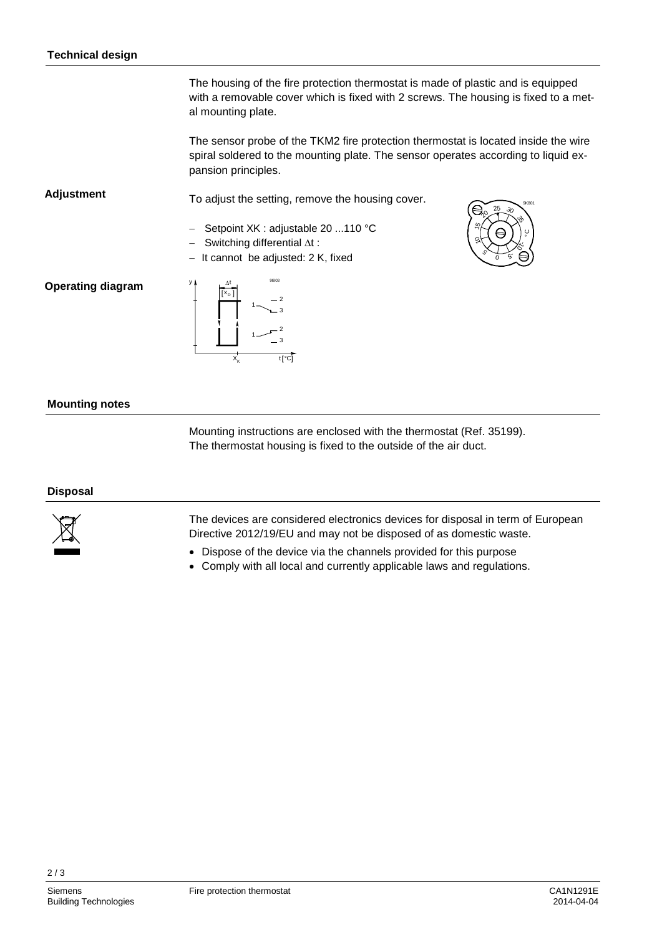The housing of the fire protection thermostat is made of plastic and is equipped with a removable cover which is fixed with 2 screws. The housing is fixed to a metal mounting plate.

The sensor probe of the TKM2 fire protection thermostat is located inside the wire spiral soldered to the mounting plate. The sensor operates according to liquid expansion principles.

**Adjustment**

− Setpoint XK : adjustable 20 ...110 °C

To adjust the setting, remove the housing cover.

- − Switching differential ∆t :
- − It cannot be adjusted: 2 K, fixed



### **Operating diagram**

| $\Delta t$ | 91803               |
|------------|---------------------|
|            | $\overline{2}$<br>3 |
|            | 2<br>3              |
|            | $t[^{\circ}C]$      |

y

#### **Mounting notes**

Mounting instructions are enclosed with the thermostat (Ref. 35199). The thermostat housing is fixed to the outside of the air duct.

#### **Disposal**



The devices are considered electronics devices for disposal in term of European Directive 2012/19/EU and may not be disposed of as domestic waste.

- Dispose of the device via the channels provided for this purpose
- Comply with all local and currently applicable laws and regulations.